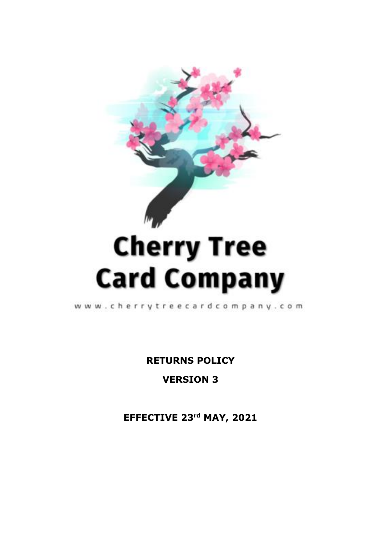

# **Card Company**

www.cherrytreecardcompany.com

**RETURNS POLICY**

**VERSION 3**

**EFFECTIVE 23 rd MAY, 2021**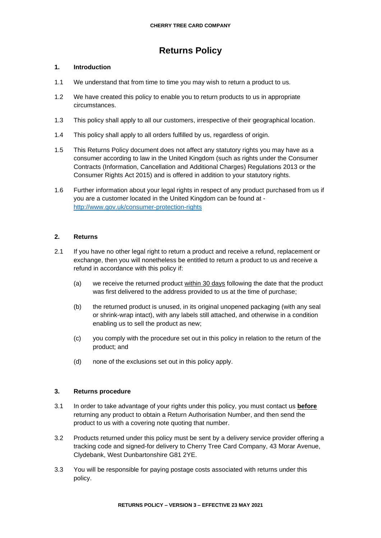# **Returns Policy**

# **1. Introduction**

- 1.1 We understand that from time to time you may wish to return a product to us.
- 1.2 We have created this policy to enable you to return products to us in appropriate circumstances.
- 1.3 This policy shall apply to all our customers, irrespective of their geographical location.
- 1.4 This policy shall apply to all orders fulfilled by us, regardless of origin.
- 1.5 This Returns Policy document does not affect any statutory rights you may have as a consumer according to law in the United Kingdom (such as rights under the Consumer Contracts (Information, Cancellation and Additional Charges) Regulations 2013 or the Consumer Rights Act 2015) and is offered in addition to your statutory rights.
- 1.6 Further information about your legal rights in respect of any product purchased from us if you are a customer located in the United Kingdom can be found at <http://www.gov.uk/consumer-protection-rights>

# **2. Returns**

- 2.1 If you have no other legal right to return a product and receive a refund, replacement or exchange, then you will nonetheless be entitled to return a product to us and receive a refund in accordance with this policy if:
	- (a) we receive the returned product within 30 days following the date that the product was first delivered to the address provided to us at the time of purchase;
	- (b) the returned product is unused, in its original unopened packaging (with any seal or shrink-wrap intact), with any labels still attached, and otherwise in a condition enabling us to sell the product as new;
	- (c) you comply with the procedure set out in this policy in relation to the return of the product; and
	- (d) none of the exclusions set out in this policy apply.

# **3. Returns procedure**

- 3.1 In order to take advantage of your rights under this policy, you must contact us **before** returning any product to obtain a Return Authorisation Number, and then send the product to us with a covering note quoting that number.
- 3.2 Products returned under this policy must be sent by a delivery service provider offering a tracking code and signed-for delivery to Cherry Tree Card Company, 43 Morar Avenue, Clydebank, West Dunbartonshire G81 2YE.
- 3.3 You will be responsible for paying postage costs associated with returns under this policy.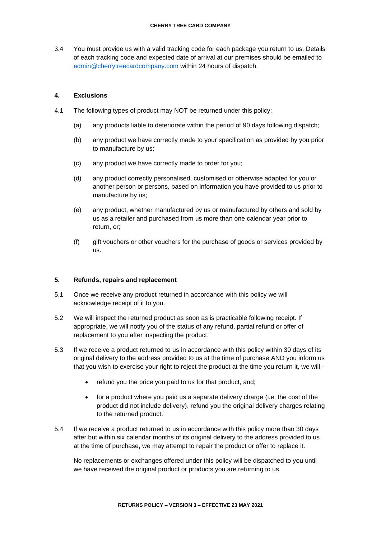#### **CHERRY TREE CARD COMPANY**

3.4 You must provide us with a valid tracking code for each package you return to us. Details of each tracking code and expected date of arrival at our premises should be emailed to [admin@cherrytreecardcompany.com](mailto:admin@cherrytreecardcompany.com) within 24 hours of dispatch.

# **4. Exclusions**

- 4.1 The following types of product may NOT be returned under this policy:
	- (a) any products liable to deteriorate within the period of 90 days following dispatch;
	- (b) any product we have correctly made to your specification as provided by you prior to manufacture by us;
	- (c) any product we have correctly made to order for you;
	- (d) any product correctly personalised, customised or otherwise adapted for you or another person or persons, based on information you have provided to us prior to manufacture by us;
	- (e) any product, whether manufactured by us or manufactured by others and sold by us as a retailer and purchased from us more than one calendar year prior to return, or;
	- (f) gift vouchers or other vouchers for the purchase of goods or services provided by us.

# **5. Refunds, repairs and replacement**

- 5.1 Once we receive any product returned in accordance with this policy we will acknowledge receipt of it to you.
- 5.2 We will inspect the returned product as soon as is practicable following receipt. If appropriate, we will notify you of the status of any refund, partial refund or offer of replacement to you after inspecting the product.
- 5.3 If we receive a product returned to us in accordance with this policy within 30 days of its original delivery to the address provided to us at the time of purchase AND you inform us that you wish to exercise your right to reject the product at the time you return it, we will
	- refund you the price you paid to us for that product, and;
	- for a product where you paid us a separate delivery charge (i.e. the cost of the product did not include delivery), refund you the original delivery charges relating to the returned product.
- 5.4 If we receive a product returned to us in accordance with this policy more than 30 days after but within six calendar months of its original delivery to the address provided to us at the time of purchase, we may attempt to repair the product or offer to replace it.

No replacements or exchanges offered under this policy will be dispatched to you until we have received the original product or products you are returning to us.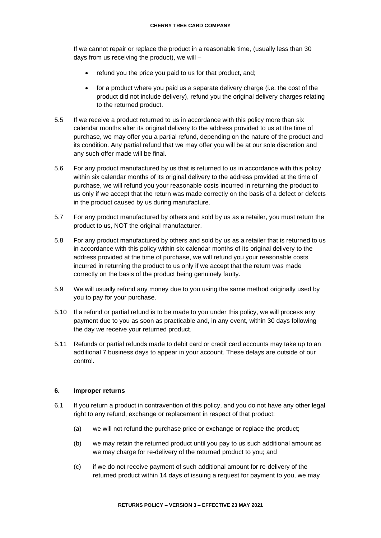If we cannot repair or replace the product in a reasonable time, (usually less than 30 days from us receiving the product), we will –

- refund you the price you paid to us for that product, and;
- for a product where you paid us a separate delivery charge (i.e. the cost of the product did not include delivery), refund you the original delivery charges relating to the returned product.
- 5.5 If we receive a product returned to us in accordance with this policy more than six calendar months after its original delivery to the address provided to us at the time of purchase, we may offer you a partial refund, depending on the nature of the product and its condition. Any partial refund that we may offer you will be at our sole discretion and any such offer made will be final.
- 5.6 For any product manufactured by us that is returned to us in accordance with this policy within six calendar months of its original delivery to the address provided at the time of purchase, we will refund you your reasonable costs incurred in returning the product to us only if we accept that the return was made correctly on the basis of a defect or defects in the product caused by us during manufacture.
- 5.7 For any product manufactured by others and sold by us as a retailer, you must return the product to us, NOT the original manufacturer.
- 5.8 For any product manufactured by others and sold by us as a retailer that is returned to us in accordance with this policy within six calendar months of its original delivery to the address provided at the time of purchase, we will refund you your reasonable costs incurred in returning the product to us only if we accept that the return was made correctly on the basis of the product being genuinely faulty.
- 5.9 We will usually refund any money due to you using the same method originally used by you to pay for your purchase.
- 5.10 If a refund or partial refund is to be made to you under this policy, we will process any payment due to you as soon as practicable and, in any event, within 30 days following the day we receive your returned product.
- 5.11 Refunds or partial refunds made to debit card or credit card accounts may take up to an additional 7 business days to appear in your account. These delays are outside of our control.

# **6. Improper returns**

- 6.1 If you return a product in contravention of this policy, and you do not have any other legal right to any refund, exchange or replacement in respect of that product:
	- (a) we will not refund the purchase price or exchange or replace the product;
	- (b) we may retain the returned product until you pay to us such additional amount as we may charge for re-delivery of the returned product to you; and
	- (c) if we do not receive payment of such additional amount for re-delivery of the returned product within 14 days of issuing a request for payment to you, we may